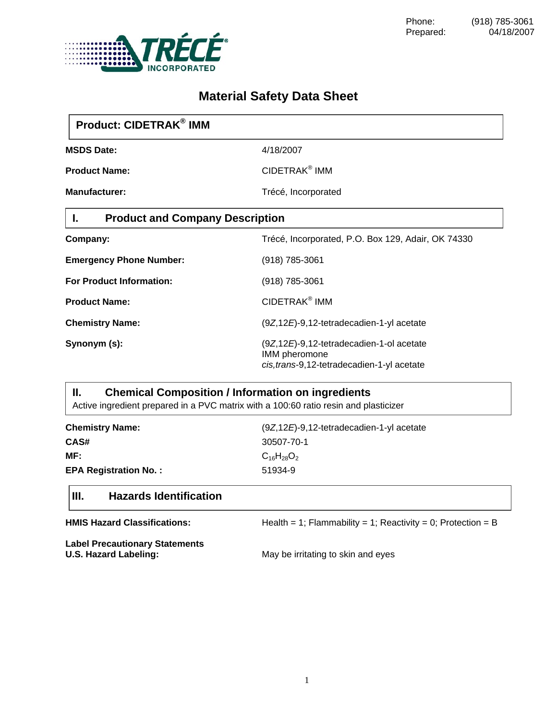

# **Material Safety Data Sheet**

| Product: CIDETRAK <sup>®</sup> IMM           |                                                                                                          |
|----------------------------------------------|----------------------------------------------------------------------------------------------------------|
| <b>MSDS Date:</b>                            | 4/18/2007                                                                                                |
| <b>Product Name:</b>                         | CIDETRAK <sup>®</sup> IMM                                                                                |
| <b>Manufacturer:</b>                         | Trécé, Incorporated                                                                                      |
| <b>Product and Company Description</b><br>Ι. |                                                                                                          |
| Company:                                     | Trécé, Incorporated, P.O. Box 129, Adair, OK 74330                                                       |
| <b>Emergency Phone Number:</b>               | (918) 785-3061                                                                                           |
| <b>For Product Information:</b>              | (918) 785-3061                                                                                           |
| <b>Product Name:</b>                         | CIDETRAK <sup>®</sup> IMM                                                                                |
| <b>Chemistry Name:</b>                       | (9Z,12E)-9,12-tetradecadien-1-yl acetate                                                                 |
| Synonym (s):                                 | (9Z,12E)-9,12-tetradecadien-1-ol acetate<br>IMM pheromone<br>cis, trans-9, 12-tetradecadien-1-yl acetate |

## **II. Chemical Composition / Information on ingredients**

Active ingredient prepared in a PVC matrix with a 100:60 ratio resin and plasticizer

| <b>Chemistry Name:</b>       | $(9Z, 12E)$ -9,12-tetradecadien-1-yl acetate |
|------------------------------|----------------------------------------------|
| CAS#                         | 30507-70-1                                   |
| MF:                          | $C_{16}H_{28}O_2$                            |
| <b>EPA Registration No.:</b> | 51934-9                                      |

### **III. Hazards Identification**

| <b>HMIS Hazard Classifications:</b>                            | Health = 1; Flammability = 1; Reactivity = 0; Protection = B |
|----------------------------------------------------------------|--------------------------------------------------------------|
| <b>Label Precautionary Statements</b><br>U.S. Hazard Labeling: | May be irritating to skin and eyes                           |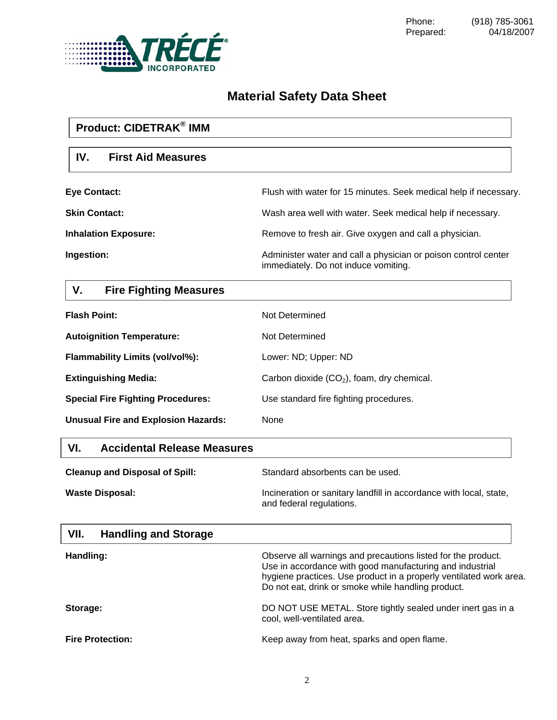

# **Material Safety Data Sheet**

# **Product: CIDETRAK® IMM IV. First Aid Measures Eye Contact:** Flush with water for 15 minutes. Seek medical help if necessary. **Skin Contact: Wash area well with water. Seek medical help if necessary. Inhalation Exposure: Remove to fresh air. Give oxygen and call a physician.** Remove to fresh air. Give oxygen and call a physician. **Ingestion: Ingestion: Administer water and call a physician or poison control center** immediately. Do not induce vomiting.

# **V. Fire Fighting Measures**

| <b>Flash Point:</b>                        | Not Determined                               |
|--------------------------------------------|----------------------------------------------|
| <b>Autoignition Temperature:</b>           | Not Determined                               |
| <b>Flammability Limits (vol/vol%):</b>     | Lower: ND; Upper: ND                         |
| <b>Extinguishing Media:</b>                | Carbon dioxide $(CO2)$ , foam, dry chemical. |
| <b>Special Fire Fighting Procedures:</b>   | Use standard fire fighting procedures.       |
| <b>Unusual Fire and Explosion Hazards:</b> | None                                         |

### **VI. Accidental Release Measures**

| <b>Cleanup and Disposal of Spill:</b> | Standard absorbents can be used.                                                               |
|---------------------------------------|------------------------------------------------------------------------------------------------|
| <b>Waste Disposal:</b>                | Incineration or sanitary landfill in accordance with local, state,<br>and federal regulations. |

#### **VII. Handling and Storage**

| Handling:               | Observe all warnings and precautions listed for the product.<br>Use in accordance with good manufacturing and industrial<br>hygiene practices. Use product in a properly ventilated work area.<br>Do not eat, drink or smoke while handling product. |
|-------------------------|------------------------------------------------------------------------------------------------------------------------------------------------------------------------------------------------------------------------------------------------------|
| Storage:                | DO NOT USE METAL. Store tightly sealed under inert gas in a<br>cool, well-ventilated area.                                                                                                                                                           |
| <b>Fire Protection:</b> | Keep away from heat, sparks and open flame.                                                                                                                                                                                                          |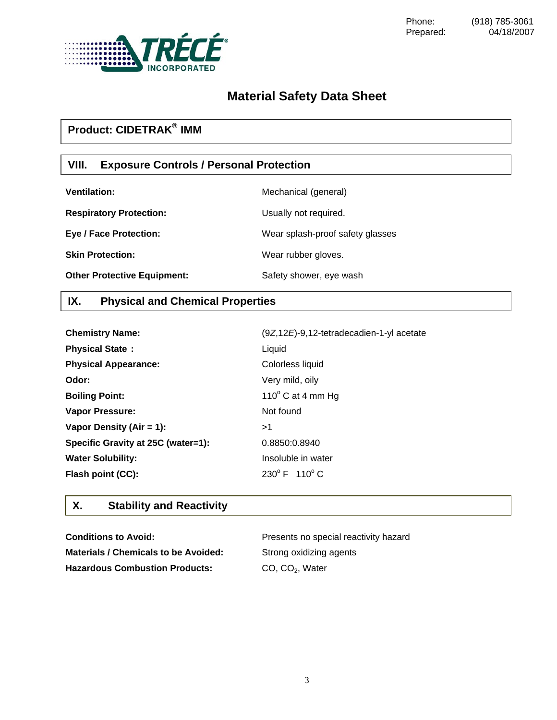

# **Material Safety Data Sheet**

# **Product: CIDETRAK® IMM**

### **VIII. Exposure Controls / Personal Protection**

| <b>Ventilation:</b>                | Mechanical (general)             |
|------------------------------------|----------------------------------|
| <b>Respiratory Protection:</b>     | Usually not required.            |
| <b>Eye / Face Protection:</b>      | Wear splash-proof safety glasses |
| <b>Skin Protection:</b>            | Wear rubber gloves.              |
| <b>Other Protective Equipment:</b> | Safety shower, eye wash          |

### **IX. Physical and Chemical Properties**

| <b>Chemistry Name:</b>             | (9Z,12E)-9,12-tetradecadien-1-yl acetate |
|------------------------------------|------------------------------------------|
| <b>Physical State:</b>             | Liquid                                   |
| <b>Physical Appearance:</b>        | Colorless liquid                         |
| Odor:                              | Very mild, oily                          |
| <b>Boiling Point:</b>              | 110 $\degree$ C at 4 mm Hg               |
| <b>Vapor Pressure:</b>             | Not found                                |
| Vapor Density (Air = 1):           | >1                                       |
| Specific Gravity at 25C (water=1): | 0.8850:0.8940                            |
| <b>Water Solubility:</b>           | Insoluble in water                       |
| Flash point (CC):                  | $230^{\circ}$ F $110^{\circ}$ C          |

### **X. Stability and Reactivity**

| <b>Conditions to Avoid:</b>           | Presents no special reactivity hazard |
|---------------------------------------|---------------------------------------|
| Materials / Chemicals to be Avoided:  | Strong oxidizing agents               |
| <b>Hazardous Combustion Products:</b> | CO. CO <sub>2</sub> . Water           |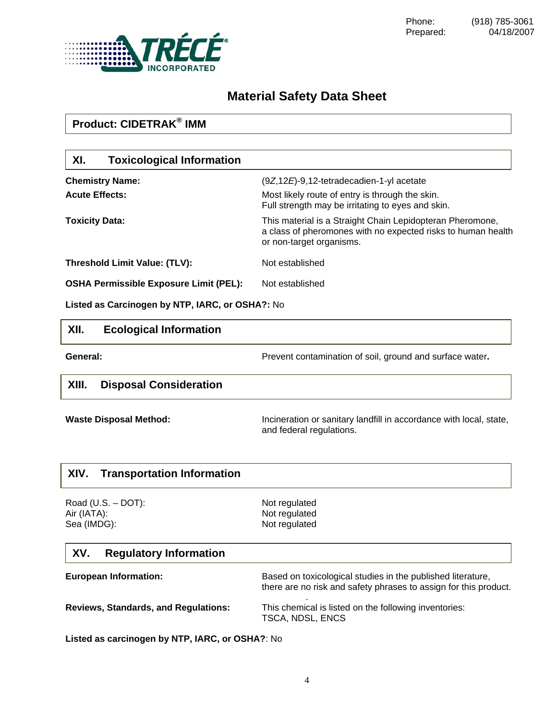

Phone: (918) 785-3061<br>Prepared: 04/18/2007 04/18/2007

# **Material Safety Data Sheet**

| <b>Product: CIDETRAK<sup>®</sup> IMM</b>        |                                                                                                                                                       |
|-------------------------------------------------|-------------------------------------------------------------------------------------------------------------------------------------------------------|
| XI.<br><b>Toxicological Information</b>         |                                                                                                                                                       |
| <b>Chemistry Name:</b>                          | (9Z,12E)-9,12-tetradecadien-1-yl acetate                                                                                                              |
| <b>Acute Effects:</b>                           | Most likely route of entry is through the skin.<br>Full strength may be irritating to eyes and skin.                                                  |
| <b>Toxicity Data:</b>                           | This material is a Straight Chain Lepidopteran Pheromone,<br>a class of pheromones with no expected risks to human health<br>or non-target organisms. |
| Threshold Limit Value: (TLV):                   | Not established                                                                                                                                       |
| <b>OSHA Permissible Exposure Limit (PEL):</b>   | Not established                                                                                                                                       |
| Listed as Carcinogen by NTP, IARC, or OSHA?: No |                                                                                                                                                       |
| XII.<br><b>Ecological Information</b>           |                                                                                                                                                       |
| General:                                        | Prevent contamination of soil, ground and surface water.                                                                                              |
| XIII.<br><b>Disposal Consideration</b>          |                                                                                                                                                       |
| <b>Waste Disposal Method:</b>                   | Incineration or sanitary landfill in accordance with local, state,<br>and federal regulations.                                                        |
| XIV.<br><b>Transportation Information</b>       |                                                                                                                                                       |
| Road $(U.S. - DOT)$ :                           | Not regulated                                                                                                                                         |
| Air (IATA):<br>Sea (IMDG):                      | Not regulated<br>Not regulated                                                                                                                        |
| XV.<br><b>Regulatory Information</b>            |                                                                                                                                                       |
| <b>European Information:</b>                    | Based on toxicological studies in the published literature,<br>there are no risk and safety phrases to assign for this product.                       |
| <b>Reviews, Standards, and Regulations:</b>     | This chemical is listed on the following inventories:<br>TSCA, NDSL, ENCS                                                                             |

**Listed as carcinogen by NTP, IARC, or OSHA?**: No